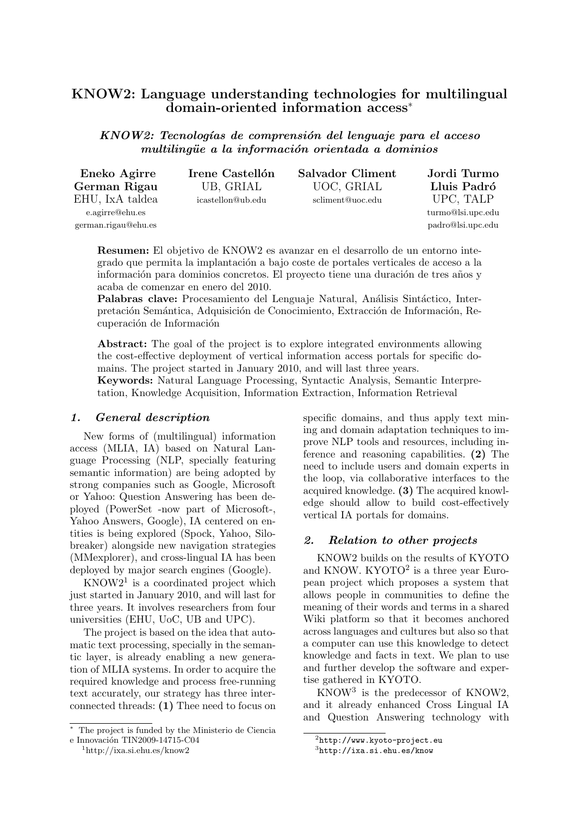# KNOW2: Language understanding technologies for multilingual domain-oriented information access<sup>∗</sup>

KNOW2: Tecnologías de comprensión del lenguaje para el acceso multilingüe a la información orientada a dominios

| Eneko Agirre        | Irene Castellón   | <b>Salvador Climent</b> | Jordi Turmo       |
|---------------------|-------------------|-------------------------|-------------------|
| German Rigau        | UB, GRIAL         | UOC, GRIAL              | Lluis Padró       |
| EHU, IxA taldea     | icastellon@ub.edu | scliment@uoc.edu        | UPC, TALP         |
| e.agirre@ehu.es     |                   |                         | turmo@lsi.upc.edu |
| german.rigau@ehu.es |                   |                         | padro@lsi.upc.edu |

Resumen: El objetivo de KNOW2 es avanzar en el desarrollo de un entorno integrado que permita la implantación a bajo coste de portales verticales de acceso a la información para dominios concretos. El provecto tiene una duración de tres años y acaba de comenzar en enero del 2010.

Palabras clave: Procesamiento del Lenguaje Natural, Análisis Sintáctico, Interpretación Semántica, Adquisición de Conocimiento, Extracción de Información, Recuperación de Información

Abstract: The goal of the project is to explore integrated environments allowing the cost-effective deployment of vertical information access portals for specific domains. The project started in January 2010, and will last three years.

Keywords: Natural Language Processing, Syntactic Analysis, Semantic Interpretation, Knowledge Acquisition, Information Extraction, Information Retrieval

#### 1. General description

New forms of (multilingual) information access (MLIA, IA) based on Natural Language Processing (NLP, specially featuring semantic information) are being adopted by strong companies such as Google, Microsoft or Yahoo: Question Answering has been deployed (PowerSet -now part of Microsoft-, Yahoo Answers, Google), IA centered on entities is being explored (Spock, Yahoo, Silobreaker) alongside new navigation strategies (MMexplorer), and cross-lingual IA has been deployed by major search engines (Google).

 $KNOW2<sup>1</sup>$  is a coordinated project which just started in January 2010, and will last for three years. It involves researchers from four universities (EHU, UoC, UB and UPC).

The project is based on the idea that automatic text processing, specially in the semantic layer, is already enabling a new generation of MLIA systems. In order to acquire the required knowledge and process free-running text accurately, our strategy has three interconnected threads: (1) Thee need to focus on specific domains, and thus apply text mining and domain adaptation techniques to improve NLP tools and resources, including inference and reasoning capabilities. (2) The need to include users and domain experts in the loop, via collaborative interfaces to the acquired knowledge. (3) The acquired knowledge should allow to build cost-effectively vertical IA portals for domains.

#### 2. Relation to other projects

KNOW2 builds on the results of KYOTO and KNOW.  $KYOTO<sup>2</sup>$  is a three year European project which proposes a system that allows people in communities to define the meaning of their words and terms in a shared Wiki platform so that it becomes anchored across languages and cultures but also so that a computer can use this knowledge to detect knowledge and facts in text. We plan to use and further develop the software and expertise gathered in KYOTO.

KNOW<sup>3</sup> is the predecessor of KNOW2, and it already enhanced Cross Lingual IA and Question Answering technology with

<sup>∗</sup> The project is funded by the Ministerio de Ciencia e Innovación TIN2009-14715-C04

<sup>1</sup>http://ixa.si.ehu.es/know2

<sup>2</sup> http://www.kyoto-project.eu

<sup>3</sup> http://ixa.si.ehu.es/know